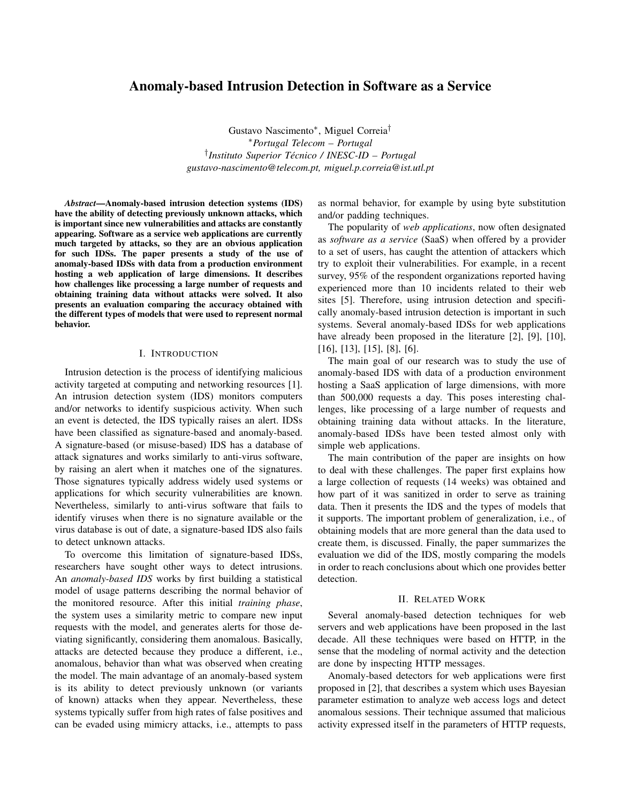# Anomaly-based Intrusion Detection in Software as a Service

Gustavo Nascimento<sup>∗</sup> , Miguel Correia† <sup>∗</sup>*Portugal Telecom – Portugal* † *Instituto Superior Tecnico / INESC-ID – Portugal ´ gustavo-nascimento@telecom.pt, miguel.p.correia@ist.utl.pt*

*Abstract*—Anomaly-based intrusion detection systems (IDS) have the ability of detecting previously unknown attacks, which is important since new vulnerabilities and attacks are constantly appearing. Software as a service web applications are currently much targeted by attacks, so they are an obvious application for such IDSs. The paper presents a study of the use of anomaly-based IDSs with data from a production environment hosting a web application of large dimensions. It describes how challenges like processing a large number of requests and obtaining training data without attacks were solved. It also presents an evaluation comparing the accuracy obtained with the different types of models that were used to represent normal behavior.

### I. INTRODUCTION

Intrusion detection is the process of identifying malicious activity targeted at computing and networking resources [1]. An intrusion detection system (IDS) monitors computers and/or networks to identify suspicious activity. When such an event is detected, the IDS typically raises an alert. IDSs have been classified as signature-based and anomaly-based. A signature-based (or misuse-based) IDS has a database of attack signatures and works similarly to anti-virus software, by raising an alert when it matches one of the signatures. Those signatures typically address widely used systems or applications for which security vulnerabilities are known. Nevertheless, similarly to anti-virus software that fails to identify viruses when there is no signature available or the virus database is out of date, a signature-based IDS also fails to detect unknown attacks.

To overcome this limitation of signature-based IDSs, researchers have sought other ways to detect intrusions. An *anomaly-based IDS* works by first building a statistical model of usage patterns describing the normal behavior of the monitored resource. After this initial *training phase*, the system uses a similarity metric to compare new input requests with the model, and generates alerts for those deviating significantly, considering them anomalous. Basically, attacks are detected because they produce a different, i.e., anomalous, behavior than what was observed when creating the model. The main advantage of an anomaly-based system is its ability to detect previously unknown (or variants of known) attacks when they appear. Nevertheless, these systems typically suffer from high rates of false positives and can be evaded using mimicry attacks, i.e., attempts to pass

as normal behavior, for example by using byte substitution and/or padding techniques.

The popularity of *web applications*, now often designated as *software as a service* (SaaS) when offered by a provider to a set of users, has caught the attention of attackers which try to exploit their vulnerabilities. For example, in a recent survey, 95% of the respondent organizations reported having experienced more than 10 incidents related to their web sites [5]. Therefore, using intrusion detection and specifically anomaly-based intrusion detection is important in such systems. Several anomaly-based IDSs for web applications have already been proposed in the literature [2], [9], [10], [16], [13], [15], [8], [6].

The main goal of our research was to study the use of anomaly-based IDS with data of a production environment hosting a SaaS application of large dimensions, with more than 500,000 requests a day. This poses interesting challenges, like processing of a large number of requests and obtaining training data without attacks. In the literature, anomaly-based IDSs have been tested almost only with simple web applications.

The main contribution of the paper are insights on how to deal with these challenges. The paper first explains how a large collection of requests (14 weeks) was obtained and how part of it was sanitized in order to serve as training data. Then it presents the IDS and the types of models that it supports. The important problem of generalization, i.e., of obtaining models that are more general than the data used to create them, is discussed. Finally, the paper summarizes the evaluation we did of the IDS, mostly comparing the models in order to reach conclusions about which one provides better detection.

#### II. RELATED WORK

Several anomaly-based detection techniques for web servers and web applications have been proposed in the last decade. All these techniques were based on HTTP, in the sense that the modeling of normal activity and the detection are done by inspecting HTTP messages.

Anomaly-based detectors for web applications were first proposed in [2], that describes a system which uses Bayesian parameter estimation to analyze web access logs and detect anomalous sessions. Their technique assumed that malicious activity expressed itself in the parameters of HTTP requests,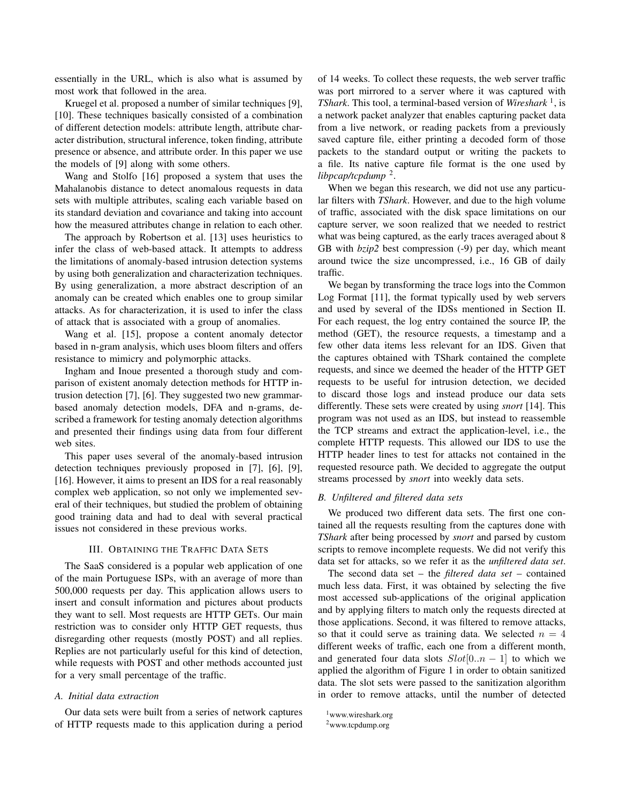essentially in the URL, which is also what is assumed by most work that followed in the area.

Kruegel et al. proposed a number of similar techniques [9], [10]. These techniques basically consisted of a combination of different detection models: attribute length, attribute character distribution, structural inference, token finding, attribute presence or absence, and attribute order. In this paper we use the models of [9] along with some others.

Wang and Stolfo [16] proposed a system that uses the Mahalanobis distance to detect anomalous requests in data sets with multiple attributes, scaling each variable based on its standard deviation and covariance and taking into account how the measured attributes change in relation to each other.

The approach by Robertson et al. [13] uses heuristics to infer the class of web-based attack. It attempts to address the limitations of anomaly-based intrusion detection systems by using both generalization and characterization techniques. By using generalization, a more abstract description of an anomaly can be created which enables one to group similar attacks. As for characterization, it is used to infer the class of attack that is associated with a group of anomalies.

Wang et al. [15], propose a content anomaly detector based in n-gram analysis, which uses bloom filters and offers resistance to mimicry and polymorphic attacks.

Ingham and Inoue presented a thorough study and comparison of existent anomaly detection methods for HTTP intrusion detection [7], [6]. They suggested two new grammarbased anomaly detection models, DFA and n-grams, described a framework for testing anomaly detection algorithms and presented their findings using data from four different web sites.

This paper uses several of the anomaly-based intrusion detection techniques previously proposed in [7], [6], [9], [16]. However, it aims to present an IDS for a real reasonably complex web application, so not only we implemented several of their techniques, but studied the problem of obtaining good training data and had to deal with several practical issues not considered in these previous works.

# III. OBTAINING THE TRAFFIC DATA SETS

The SaaS considered is a popular web application of one of the main Portuguese ISPs, with an average of more than 500,000 requests per day. This application allows users to insert and consult information and pictures about products they want to sell. Most requests are HTTP GETs. Our main restriction was to consider only HTTP GET requests, thus disregarding other requests (mostly POST) and all replies. Replies are not particularly useful for this kind of detection, while requests with POST and other methods accounted just for a very small percentage of the traffic.

# *A. Initial data extraction*

Our data sets were built from a series of network captures of HTTP requests made to this application during a period

of 14 weeks. To collect these requests, the web server traffic was port mirrored to a server where it was captured with *TShark*. This tool, a terminal-based version of *Wireshark* <sup>1</sup> , is a network packet analyzer that enables capturing packet data from a live network, or reading packets from a previously saved capture file, either printing a decoded form of those packets to the standard output or writing the packets to a file. Its native capture file format is the one used by *libpcap/tcpdump* <sup>2</sup> .

When we began this research, we did not use any particular filters with *TShark*. However, and due to the high volume of traffic, associated with the disk space limitations on our capture server, we soon realized that we needed to restrict what was being captured, as the early traces averaged about 8 GB with *bzip2* best compression (-9) per day, which meant around twice the size uncompressed, i.e., 16 GB of daily traffic.

We began by transforming the trace logs into the Common Log Format [11], the format typically used by web servers and used by several of the IDSs mentioned in Section II. For each request, the log entry contained the source IP, the method (GET), the resource requests, a timestamp and a few other data items less relevant for an IDS. Given that the captures obtained with TShark contained the complete requests, and since we deemed the header of the HTTP GET requests to be useful for intrusion detection, we decided to discard those logs and instead produce our data sets differently. These sets were created by using *snort* [14]. This program was not used as an IDS, but instead to reassemble the TCP streams and extract the application-level, i.e., the complete HTTP requests. This allowed our IDS to use the HTTP header lines to test for attacks not contained in the requested resource path. We decided to aggregate the output streams processed by *snort* into weekly data sets.

# *B. Unfiltered and filtered data sets*

We produced two different data sets. The first one contained all the requests resulting from the captures done with *TShark* after being processed by *snort* and parsed by custom scripts to remove incomplete requests. We did not verify this data set for attacks, so we refer it as the *unfiltered data set*.

The second data set – the *filtered data set* – contained much less data. First, it was obtained by selecting the five most accessed sub-applications of the original application and by applying filters to match only the requests directed at those applications. Second, it was filtered to remove attacks, so that it could serve as training data. We selected  $n = 4$ different weeks of traffic, each one from a different month, and generated four data slots  $Slot[0..n - 1]$  to which we applied the algorithm of Figure 1 in order to obtain sanitized data. The slot sets were passed to the sanitization algorithm in order to remove attacks, until the number of detected

<sup>1</sup>www.wireshark.org

<sup>2</sup>www.tcpdump.org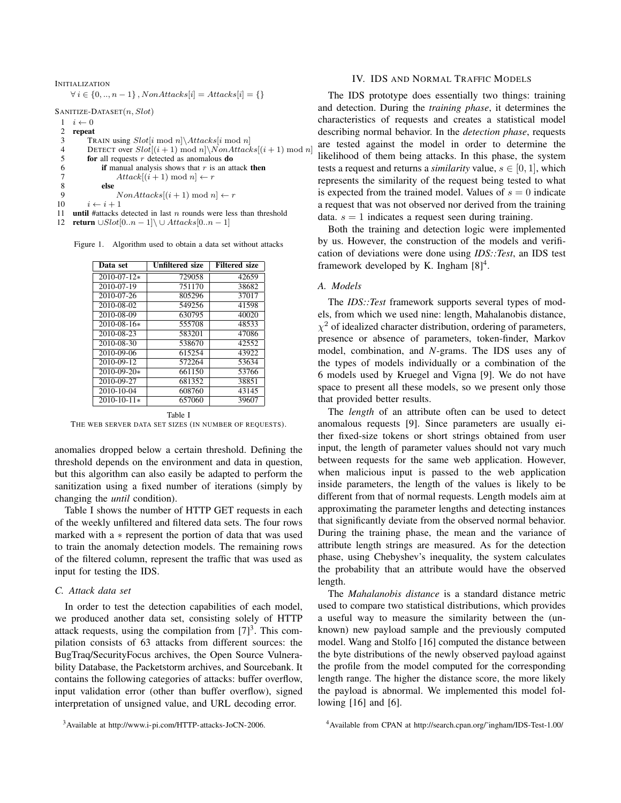```
INITIALIZATION
     ∀ i ∈ {0, ..., n − 1}, N onAttacks[i] = Attacks[i] = {}SANITIZE-DATASET(n, Slot)1 i \leftarrow 0<br>2 repeat
     repeat
  3 TRAIN using Slot[i mod n]\Attacks[i mod n]
           DETECT over Slot[(i + 1) \text{ mod } n] \ NonAttacks[(i + 1) \text{ mod } n]\frac{5}{7} for all requests r detected as anomalous do
  6 if manual analysis shows that r is an attack then<br>
\begin{array}{c} 7 \\ 7 \end{array} Attack [(i + 1) \text{ mod } n] \leftarrow rAttack[(i + 1) \mod n] \leftarrow r8 else
 9 NonAttacks[(i + 1) \mod n] \leftarrow r<br>10 i \leftarrow i + 1i \leftarrow i + 1
```
- 11 **until** #attacks detected in last  $n$  rounds were less than threshold
- 12 **return** ∪*Slot*[0..*n* − 1] $\cup$  *∆ttacks*[0..*n* − 1]

Figure 1. Algorithm used to obtain a data set without attacks

| Data set          | Unfiltered size | <b>Filtered size</b> |
|-------------------|-----------------|----------------------|
| $2010 - 07 - 12*$ | 729058          | 42659                |
| 2010-07-19        | 751170          | 38682                |
| $2010 - 07 - 26$  | 805296          | 37017                |
| 2010-08-02        | 549256          | 41598                |
| 2010-08-09        | 630795          | 40020                |
| $2010 - 08 - 16*$ | 555708          | 48533                |
| 2010-08-23        | 583201          | 47086                |
| 2010-08-30        | 538670          | 42552                |
| 2010-09-06        | 615254          | 43922                |
| 2010-09-12        | 572264          | 53634                |
| $2010 - 09 - 20*$ | 661150          | 53766                |
| 2010-09-27        | 681352          | 38851                |
| 2010-10-04        | 608760          | 43145                |
| $2010 - 10 - 11*$ | 657060          | 39607                |

Table I

THE WEB SERVER DATA SET SIZES (IN NUMBER OF REQUESTS).

anomalies dropped below a certain threshold. Defining the threshold depends on the environment and data in question, but this algorithm can also easily be adapted to perform the sanitization using a fixed number of iterations (simply by changing the *until* condition).

Table I shows the number of HTTP GET requests in each of the weekly unfiltered and filtered data sets. The four rows marked with a ∗ represent the portion of data that was used to train the anomaly detection models. The remaining rows of the filtered column, represent the traffic that was used as input for testing the IDS.

# *C. Attack data set*

In order to test the detection capabilities of each model, we produced another data set, consisting solely of HTTP attack requests, using the compilation from  $[7]^3$ . This compilation consists of 63 attacks from different sources: the BugTraq/SecurityFocus archives, the Open Source Vulnerability Database, the Packetstorm archives, and Sourcebank. It contains the following categories of attacks: buffer overflow, input validation error (other than buffer overflow), signed interpretation of unsigned value, and URL decoding error.

# IV. IDS AND NORMAL TRAFFIC MODELS

The IDS prototype does essentially two things: training and detection. During the *training phase*, it determines the characteristics of requests and creates a statistical model describing normal behavior. In the *detection phase*, requests are tested against the model in order to determine the likelihood of them being attacks. In this phase, the system tests a request and returns a *similarity* value,  $s \in [0, 1]$ , which represents the similarity of the request being tested to what is expected from the trained model. Values of  $s = 0$  indicate a request that was not observed nor derived from the training data.  $s = 1$  indicates a request seen during training.

Both the training and detection logic were implemented by us. However, the construction of the models and verification of deviations were done using *IDS::Test*, an IDS test framework developed by K. Ingham  $[8]^4$ .

# *A. Models*

The *IDS::Test* framework supports several types of models, from which we used nine: length, Mahalanobis distance,  $\chi^2$  of idealized character distribution, ordering of parameters, presence or absence of parameters, token-finder, Markov model, combination, and *N*-grams. The IDS uses any of the types of models individually or a combination of the 6 models used by Kruegel and Vigna [9]. We do not have space to present all these models, so we present only those that provided better results.

The *length* of an attribute often can be used to detect anomalous requests [9]. Since parameters are usually either fixed-size tokens or short strings obtained from user input, the length of parameter values should not vary much between requests for the same web application. However, when malicious input is passed to the web application inside parameters, the length of the values is likely to be different from that of normal requests. Length models aim at approximating the parameter lengths and detecting instances that significantly deviate from the observed normal behavior. During the training phase, the mean and the variance of attribute length strings are measured. As for the detection phase, using Chebyshev's inequality, the system calculates the probability that an attribute would have the observed length.

The *Mahalanobis distance* is a standard distance metric used to compare two statistical distributions, which provides a useful way to measure the similarity between the (unknown) new payload sample and the previously computed model. Wang and Stolfo [16] computed the distance between the byte distributions of the newly observed payload against the profile from the model computed for the corresponding length range. The higher the distance score, the more likely the payload is abnormal. We implemented this model following [16] and [6].

<sup>4</sup>Available from CPAN at http://search.cpan.org/˜ingham/IDS-Test-1.00/

<sup>3</sup>Available at http://www.i-pi.com/HTTP-attacks-JoCN-2006.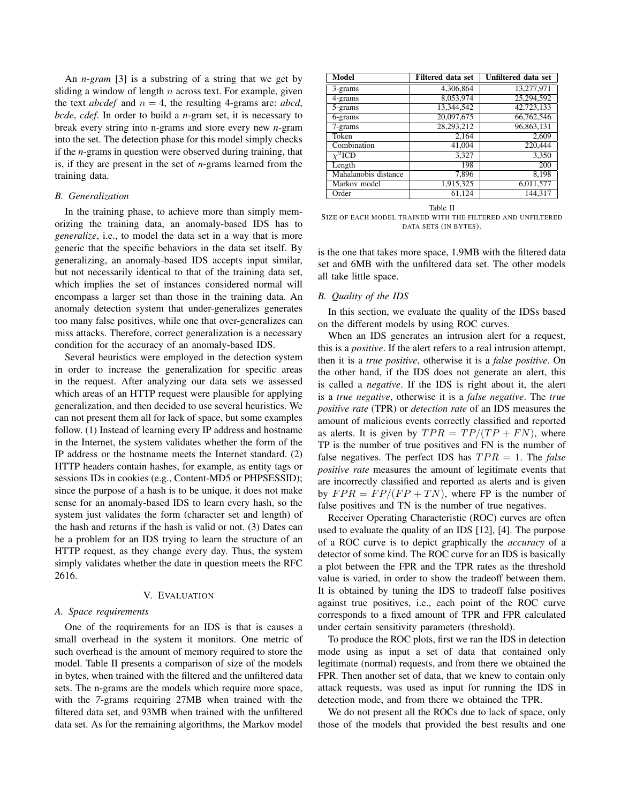An *n-gram* [3] is a substring of a string that we get by sliding a window of length  $n$  across text. For example, given the text *abcdef* and  $n = 4$ , the resulting 4-grams are: *abcd*, *bcde*, *cdef*. In order to build a *n*-gram set, it is necessary to break every string into n-grams and store every new *n*-gram into the set. The detection phase for this model simply checks if the *n*-grams in question were observed during training, that is, if they are present in the set of *n*-grams learned from the training data.

# *B. Generalization*

In the training phase, to achieve more than simply memorizing the training data, an anomaly-based IDS has to *generalize*, i.e., to model the data set in a way that is more generic that the specific behaviors in the data set itself. By generalizing, an anomaly-based IDS accepts input similar, but not necessarily identical to that of the training data set, which implies the set of instances considered normal will encompass a larger set than those in the training data. An anomaly detection system that under-generalizes generates too many false positives, while one that over-generalizes can miss attacks. Therefore, correct generalization is a necessary condition for the accuracy of an anomaly-based IDS.

Several heuristics were employed in the detection system in order to increase the generalization for specific areas in the request. After analyzing our data sets we assessed which areas of an HTTP request were plausible for applying generalization, and then decided to use several heuristics. We can not present them all for lack of space, but some examples follow. (1) Instead of learning every IP address and hostname in the Internet, the system validates whether the form of the IP address or the hostname meets the Internet standard. (2) HTTP headers contain hashes, for example, as entity tags or sessions IDs in cookies (e.g., Content-MD5 or PHPSESSID); since the purpose of a hash is to be unique, it does not make sense for an anomaly-based IDS to learn every hash, so the system just validates the form (character set and length) of the hash and returns if the hash is valid or not. (3) Dates can be a problem for an IDS trying to learn the structure of an HTTP request, as they change every day. Thus, the system simply validates whether the date in question meets the RFC 2616.

# V. EVALUATION

### *A. Space requirements*

One of the requirements for an IDS is that is causes a small overhead in the system it monitors. One metric of such overhead is the amount of memory required to store the model. Table II presents a comparison of size of the models in bytes, when trained with the filtered and the unfiltered data sets. The n-grams are the models which require more space, with the *7*-grams requiring 27MB when trained with the filtered data set, and 93MB when trained with the unfiltered data set. As for the remaining algorithms, the Markov model

| Model                | Filtered data set | Unfiltered data set |
|----------------------|-------------------|---------------------|
| 3-grams              | 4.306.864         | 13,277,971          |
| 4-grams              | 8,053,974         | 25,294,592          |
| 5-grams              | 13.344.542        | 42,723,133          |
| 6-grams              | 20,097,675        | 66,762,546          |
| 7-grams              | 28,293,212        | 96,863,131          |
| Token                | 2,164             | 2,609               |
| Combination          | 41,004            | 220,444             |
| $\chi^2$ ICD         | 3,327             | 3,350               |
| Length               | 198               | 200                 |
| Mahalanobis distance | 7,896             | 8.198               |
| Markov model         | 1,915,325         | 6,011,577           |
| Order                | 61,124            | 144,317             |

Table II

SIZE OF EACH MODEL TRAINED WITH THE FILTERED AND UNFILTERED DATA SETS (IN BYTES).

is the one that takes more space, 1.9MB with the filtered data set and 6MB with the unfiltered data set. The other models all take little space.

# *B. Quality of the IDS*

In this section, we evaluate the quality of the IDSs based on the different models by using ROC curves.

When an IDS generates an intrusion alert for a request, this is a *positive*. If the alert refers to a real intrusion attempt, then it is a *true positive*, otherwise it is a *false positive*. On the other hand, if the IDS does not generate an alert, this is called a *negative*. If the IDS is right about it, the alert is a *true negative*, otherwise it is a *false negative*. The *true positive rate* (TPR) or *detection rate* of an IDS measures the amount of malicious events correctly classified and reported as alerts. It is given by  $TPR = TP/(TP + FN)$ , where TP is the number of true positives and FN is the number of false negatives. The perfect IDS has  $TPR = 1$ . The *false positive rate* measures the amount of legitimate events that are incorrectly classified and reported as alerts and is given by  $FPR = FP/(FP + TN)$ , where FP is the number of false positives and TN is the number of true negatives.

Receiver Operating Characteristic (ROC) curves are often used to evaluate the quality of an IDS [12], [4]. The purpose of a ROC curve is to depict graphically the *accuracy* of a detector of some kind. The ROC curve for an IDS is basically a plot between the FPR and the TPR rates as the threshold value is varied, in order to show the tradeoff between them. It is obtained by tuning the IDS to tradeoff false positives against true positives, i.e., each point of the ROC curve corresponds to a fixed amount of TPR and FPR calculated under certain sensitivity parameters (threshold).

To produce the ROC plots, first we ran the IDS in detection mode using as input a set of data that contained only legitimate (normal) requests, and from there we obtained the FPR. Then another set of data, that we knew to contain only attack requests, was used as input for running the IDS in detection mode, and from there we obtained the TPR.

We do not present all the ROCs due to lack of space, only those of the models that provided the best results and one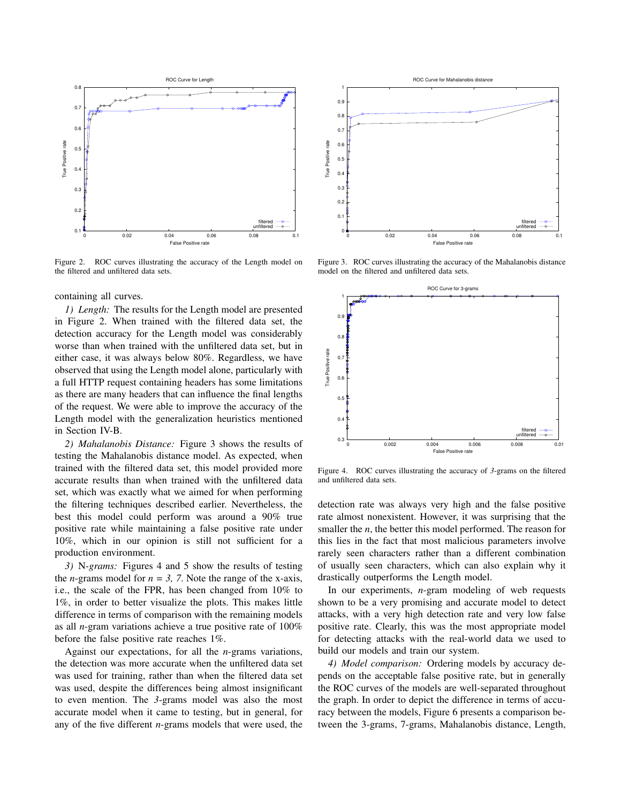

Figure 2. ROC curves illustrating the accuracy of the Length model on the filtered and unfiltered data sets.

containing all curves.

*1) Length:* The results for the Length model are presented in Figure 2. When trained with the filtered data set, the detection accuracy for the Length model was considerably worse than when trained with the unfiltered data set, but in either case, it was always below 80%. Regardless, we have observed that using the Length model alone, particularly with a full HTTP request containing headers has some limitations as there are many headers that can influence the final lengths of the request. We were able to improve the accuracy of the Length model with the generalization heuristics mentioned in Section IV-B.

*2) Mahalanobis Distance:* Figure 3 shows the results of testing the Mahalanobis distance model. As expected, when trained with the filtered data set, this model provided more accurate results than when trained with the unfiltered data set, which was exactly what we aimed for when performing the filtering techniques described earlier. Nevertheless, the best this model could perform was around a 90% true positive rate while maintaining a false positive rate under 10%, which in our opinion is still not sufficient for a production environment.

*3)* N*-grams:* Figures 4 and 5 show the results of testing the *n*-grams model for  $n = 3$ , 7. Note the range of the x-axis, i.e., the scale of the FPR, has been changed from 10% to 1%, in order to better visualize the plots. This makes little difference in terms of comparison with the remaining models as all *n*-gram variations achieve a true positive rate of 100% before the false positive rate reaches 1%.

Against our expectations, for all the *n*-grams variations, the detection was more accurate when the unfiltered data set was used for training, rather than when the filtered data set was used, despite the differences being almost insignificant to even mention. The *3*-grams model was also the most accurate model when it came to testing, but in general, for any of the five different *n*-grams models that were used, the



Figure 3. ROC curves illustrating the accuracy of the Mahalanobis distance model on the filtered and unfiltered data sets.



Figure 4. ROC curves illustrating the accuracy of *3*-grams on the filtered and unfiltered data sets.

detection rate was always very high and the false positive rate almost nonexistent. However, it was surprising that the smaller the *n*, the better this model performed. The reason for this lies in the fact that most malicious parameters involve rarely seen characters rather than a different combination of usually seen characters, which can also explain why it drastically outperforms the Length model.

In our experiments, *n*-gram modeling of web requests shown to be a very promising and accurate model to detect attacks, with a very high detection rate and very low false positive rate. Clearly, this was the most appropriate model for detecting attacks with the real-world data we used to build our models and train our system.

*4) Model comparison:* Ordering models by accuracy depends on the acceptable false positive rate, but in generally the ROC curves of the models are well-separated throughout the graph. In order to depict the difference in terms of accuracy between the models, Figure 6 presents a comparison between the 3-grams, 7-grams, Mahalanobis distance, Length,